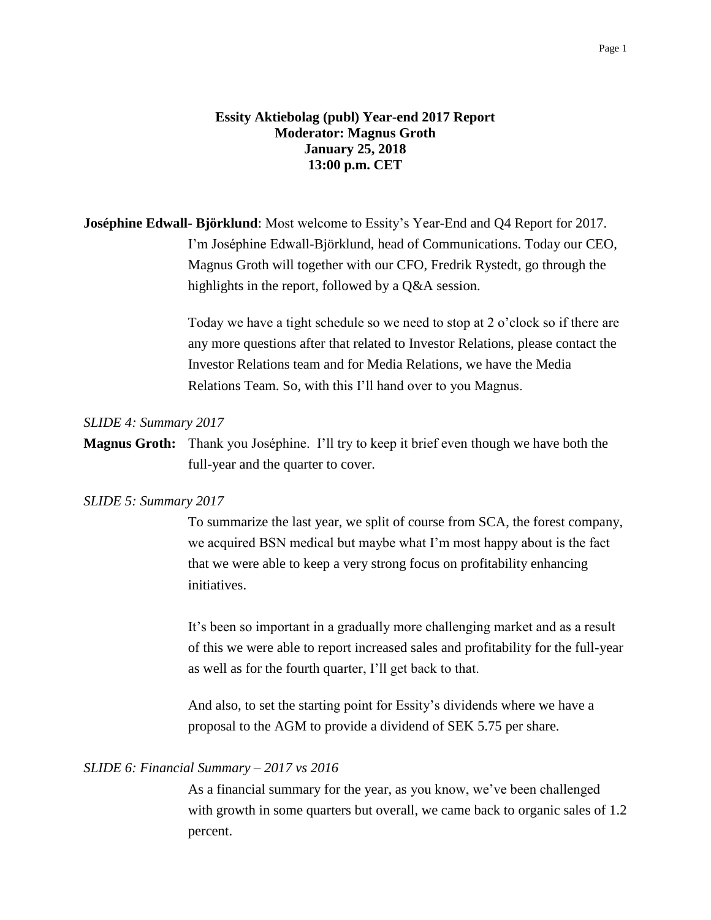# **Essity Aktiebolag (publ) Year-end 2017 Report Moderator: Magnus Groth January 25, 2018 13:00 p.m. CET**

**Joséphine Edwall- Björklund**: Most welcome to Essity's Year-End and Q4 Report for 2017. I'm Joséphine Edwall-Björklund, head of Communications. Today our CEO, Magnus Groth will together with our CFO, Fredrik Rystedt, go through the highlights in the report, followed by a Q&A session.

> Today we have a tight schedule so we need to stop at 2 o'clock so if there are any more questions after that related to Investor Relations, please contact the Investor Relations team and for Media Relations, we have the Media Relations Team. So, with this I'll hand over to you Magnus.

## *SLIDE 4: Summary 2017*

**Magnus Groth:** Thank you Joséphine. I'll try to keep it brief even though we have both the full-year and the quarter to cover.

### *SLIDE 5: Summary 2017*

To summarize the last year, we split of course from SCA, the forest company, we acquired BSN medical but maybe what I'm most happy about is the fact that we were able to keep a very strong focus on profitability enhancing initiatives.

It's been so important in a gradually more challenging market and as a result of this we were able to report increased sales and profitability for the full-year as well as for the fourth quarter, I'll get back to that.

And also, to set the starting point for Essity's dividends where we have a proposal to the AGM to provide a dividend of SEK 5.75 per share.

### *SLIDE 6: Financial Summary – 2017 vs 2016*

As a financial summary for the year, as you know, we've been challenged with growth in some quarters but overall, we came back to organic sales of 1.2 percent.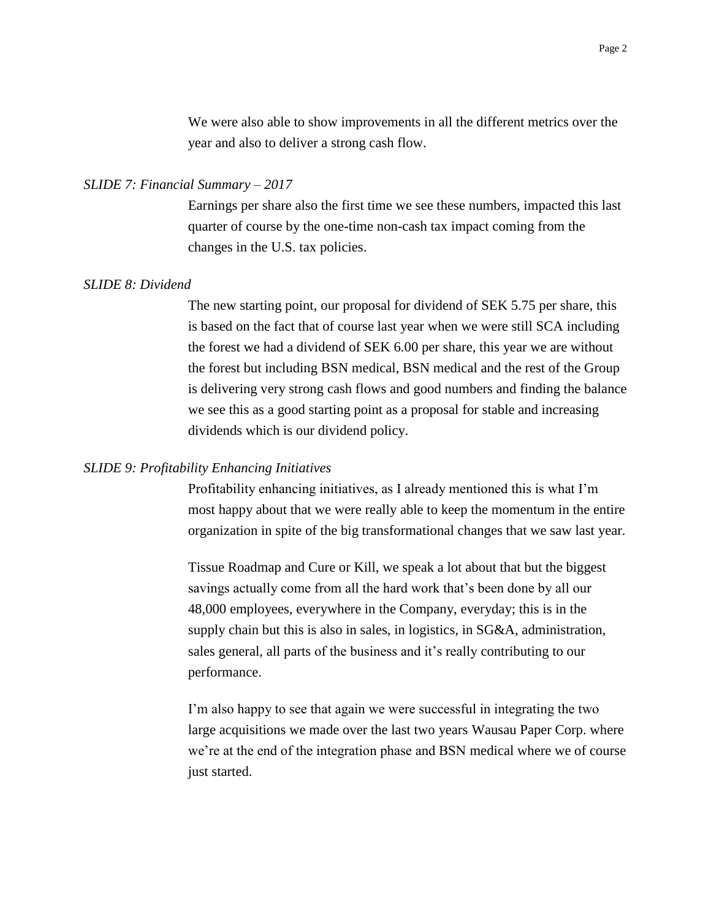We were also able to show improvements in all the different metrics over the year and also to deliver a strong cash flow.

## *SLIDE 7: Financial Summary – 2017*

Earnings per share also the first time we see these numbers, impacted this last quarter of course by the one-time non-cash tax impact coming from the changes in the U.S. tax policies.

## *SLIDE 8: Dividend*

The new starting point, our proposal for dividend of SEK 5.75 per share, this is based on the fact that of course last year when we were still SCA including the forest we had a dividend of SEK 6.00 per share, this year we are without the forest but including BSN medical, BSN medical and the rest of the Group is delivering very strong cash flows and good numbers and finding the balance we see this as a good starting point as a proposal for stable and increasing dividends which is our dividend policy.

#### *SLIDE 9: Profitability Enhancing Initiatives*

Profitability enhancing initiatives, as I already mentioned this is what I'm most happy about that we were really able to keep the momentum in the entire organization in spite of the big transformational changes that we saw last year.

Tissue Roadmap and Cure or Kill, we speak a lot about that but the biggest savings actually come from all the hard work that's been done by all our 48,000 employees, everywhere in the Company, everyday; this is in the supply chain but this is also in sales, in logistics, in SG&A, administration, sales general, all parts of the business and it's really contributing to our performance.

I'm also happy to see that again we were successful in integrating the two large acquisitions we made over the last two years Wausau Paper Corp. where we're at the end of the integration phase and BSN medical where we of course just started.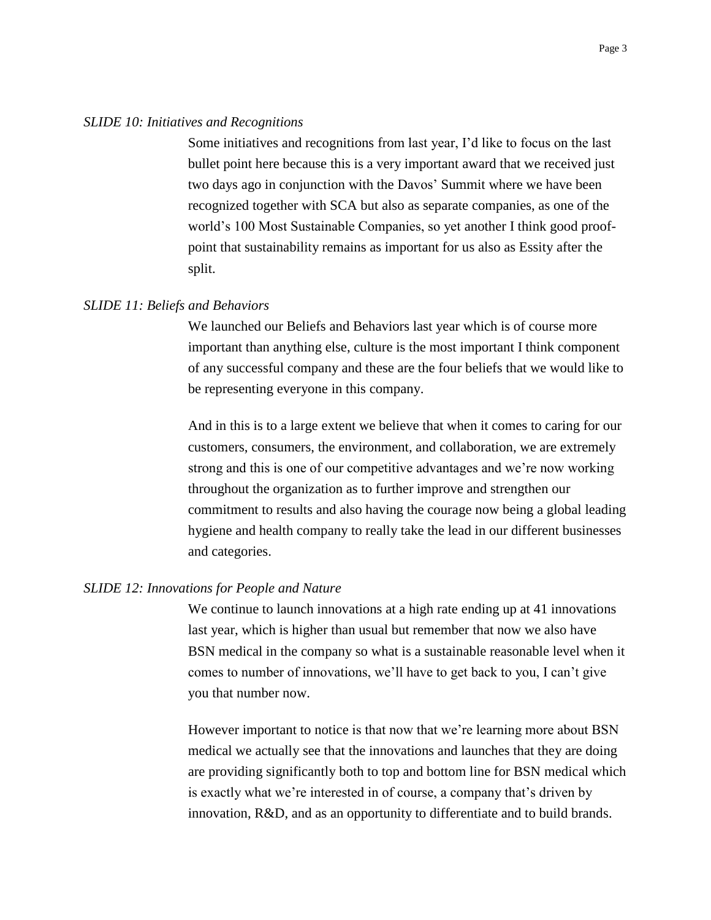#### *SLIDE 10: Initiatives and Recognitions*

Some initiatives and recognitions from last year, I'd like to focus on the last bullet point here because this is a very important award that we received just two days ago in conjunction with the Davos' Summit where we have been recognized together with SCA but also as separate companies, as one of the world's 100 Most Sustainable Companies, so yet another I think good proofpoint that sustainability remains as important for us also as Essity after the split.

## *SLIDE 11: Beliefs and Behaviors*

We launched our Beliefs and Behaviors last year which is of course more important than anything else, culture is the most important I think component of any successful company and these are the four beliefs that we would like to be representing everyone in this company.

And in this is to a large extent we believe that when it comes to caring for our customers, consumers, the environment, and collaboration, we are extremely strong and this is one of our competitive advantages and we're now working throughout the organization as to further improve and strengthen our commitment to results and also having the courage now being a global leading hygiene and health company to really take the lead in our different businesses and categories.

#### *SLIDE 12: Innovations for People and Nature*

We continue to launch innovations at a high rate ending up at 41 innovations last year, which is higher than usual but remember that now we also have BSN medical in the company so what is a sustainable reasonable level when it comes to number of innovations, we'll have to get back to you, I can't give you that number now.

However important to notice is that now that we're learning more about BSN medical we actually see that the innovations and launches that they are doing are providing significantly both to top and bottom line for BSN medical which is exactly what we're interested in of course, a company that's driven by innovation, R&D, and as an opportunity to differentiate and to build brands.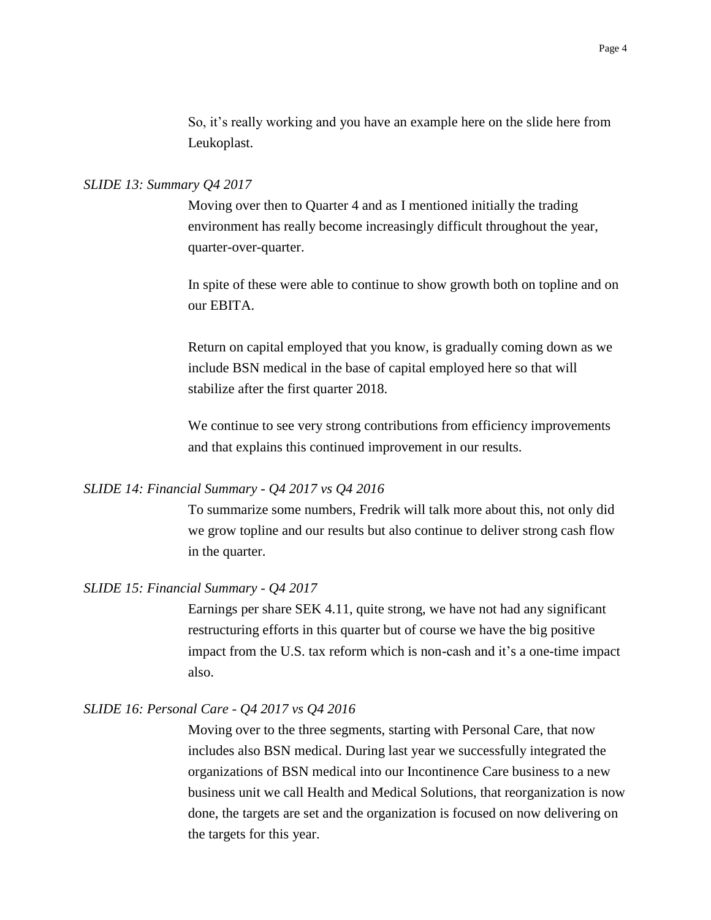So, it's really working and you have an example here on the slide here from Leukoplast.

## *SLIDE 13: Summary Q4 2017*

Moving over then to Quarter 4 and as I mentioned initially the trading environment has really become increasingly difficult throughout the year, quarter-over-quarter.

In spite of these were able to continue to show growth both on topline and on our EBITA.

Return on capital employed that you know, is gradually coming down as we include BSN medical in the base of capital employed here so that will stabilize after the first quarter 2018.

We continue to see very strong contributions from efficiency improvements and that explains this continued improvement in our results.

## *SLIDE 14: Financial Summary - Q4 2017 vs Q4 2016*

To summarize some numbers, Fredrik will talk more about this, not only did we grow topline and our results but also continue to deliver strong cash flow in the quarter.

# *SLIDE 15: Financial Summary - Q4 2017*

Earnings per share SEK 4.11, quite strong, we have not had any significant restructuring efforts in this quarter but of course we have the big positive impact from the U.S. tax reform which is non-cash and it's a one-time impact also.

## *SLIDE 16: Personal Care - Q4 2017 vs Q4 2016*

Moving over to the three segments, starting with Personal Care, that now includes also BSN medical. During last year we successfully integrated the organizations of BSN medical into our Incontinence Care business to a new business unit we call Health and Medical Solutions, that reorganization is now done, the targets are set and the organization is focused on now delivering on the targets for this year.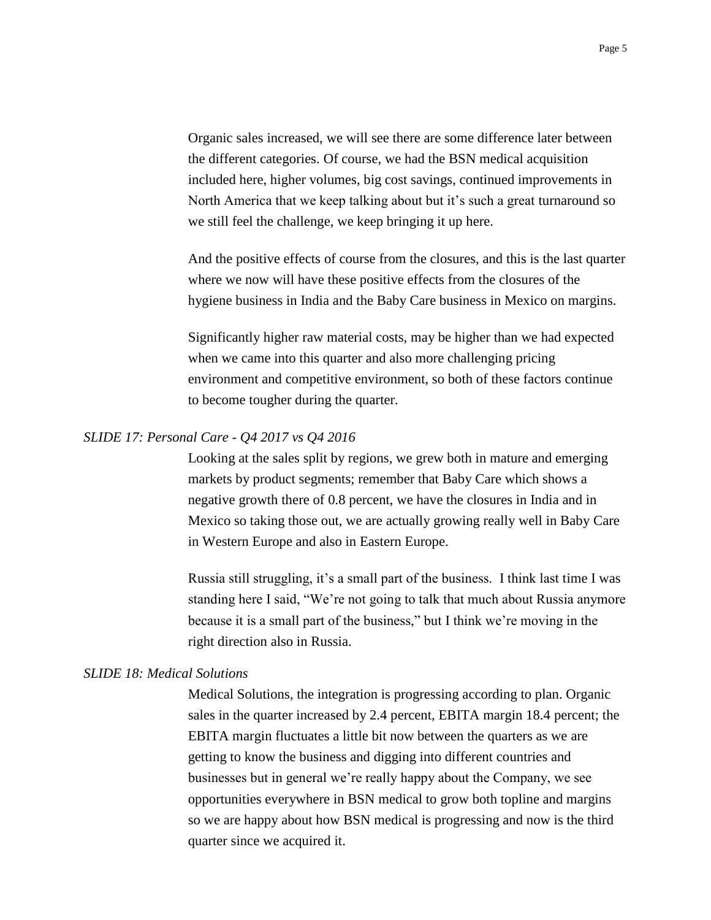Organic sales increased, we will see there are some difference later between the different categories. Of course, we had the BSN medical acquisition included here, higher volumes, big cost savings, continued improvements in North America that we keep talking about but it's such a great turnaround so we still feel the challenge, we keep bringing it up here.

And the positive effects of course from the closures, and this is the last quarter where we now will have these positive effects from the closures of the hygiene business in India and the Baby Care business in Mexico on margins.

Significantly higher raw material costs, may be higher than we had expected when we came into this quarter and also more challenging pricing environment and competitive environment, so both of these factors continue to become tougher during the quarter.

# *SLIDE 17: Personal Care - Q4 2017 vs Q4 2016*

Looking at the sales split by regions, we grew both in mature and emerging markets by product segments; remember that Baby Care which shows a negative growth there of 0.8 percent, we have the closures in India and in Mexico so taking those out, we are actually growing really well in Baby Care in Western Europe and also in Eastern Europe.

Russia still struggling, it's a small part of the business. I think last time I was standing here I said, "We're not going to talk that much about Russia anymore because it is a small part of the business," but I think we're moving in the right direction also in Russia.

# *SLIDE 18: Medical Solutions*

Medical Solutions, the integration is progressing according to plan. Organic sales in the quarter increased by 2.4 percent, EBITA margin 18.4 percent; the EBITA margin fluctuates a little bit now between the quarters as we are getting to know the business and digging into different countries and businesses but in general we're really happy about the Company, we see opportunities everywhere in BSN medical to grow both topline and margins so we are happy about how BSN medical is progressing and now is the third quarter since we acquired it.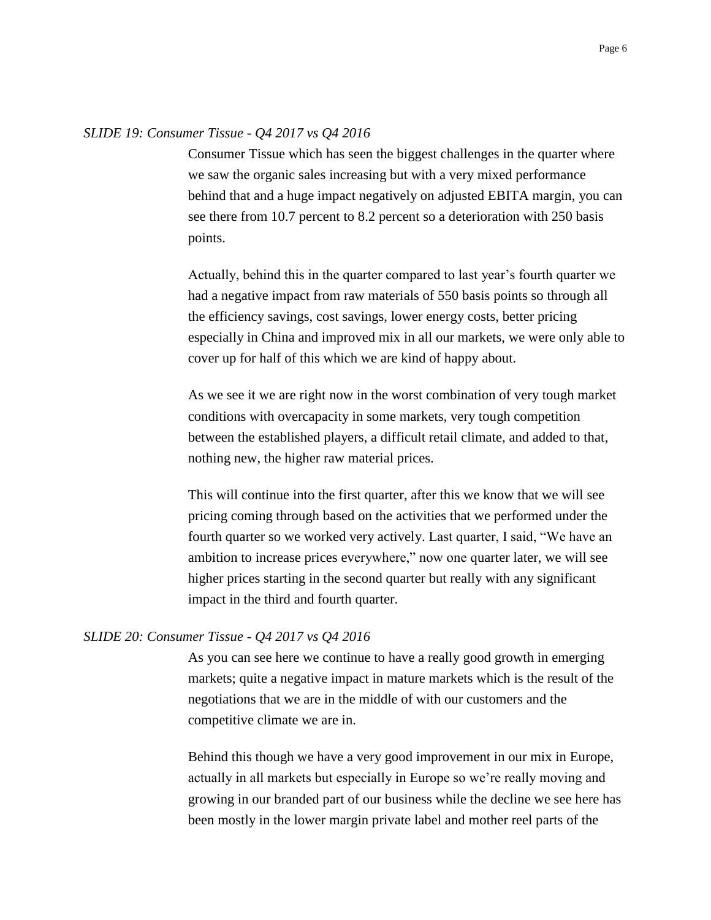## *SLIDE 19: Consumer Tissue - Q4 2017 vs Q4 2016*

Consumer Tissue which has seen the biggest challenges in the quarter where we saw the organic sales increasing but with a very mixed performance behind that and a huge impact negatively on adjusted EBITA margin, you can see there from 10.7 percent to 8.2 percent so a deterioration with 250 basis points.

Actually, behind this in the quarter compared to last year's fourth quarter we had a negative impact from raw materials of 550 basis points so through all the efficiency savings, cost savings, lower energy costs, better pricing especially in China and improved mix in all our markets, we were only able to cover up for half of this which we are kind of happy about.

As we see it we are right now in the worst combination of very tough market conditions with overcapacity in some markets, very tough competition between the established players, a difficult retail climate, and added to that, nothing new, the higher raw material prices.

This will continue into the first quarter, after this we know that we will see pricing coming through based on the activities that we performed under the fourth quarter so we worked very actively. Last quarter, I said, "We have an ambition to increase prices everywhere," now one quarter later, we will see higher prices starting in the second quarter but really with any significant impact in the third and fourth quarter.

## *SLIDE 20: Consumer Tissue - Q4 2017 vs Q4 2016*

As you can see here we continue to have a really good growth in emerging markets; quite a negative impact in mature markets which is the result of the negotiations that we are in the middle of with our customers and the competitive climate we are in.

Behind this though we have a very good improvement in our mix in Europe, actually in all markets but especially in Europe so we're really moving and growing in our branded part of our business while the decline we see here has been mostly in the lower margin private label and mother reel parts of the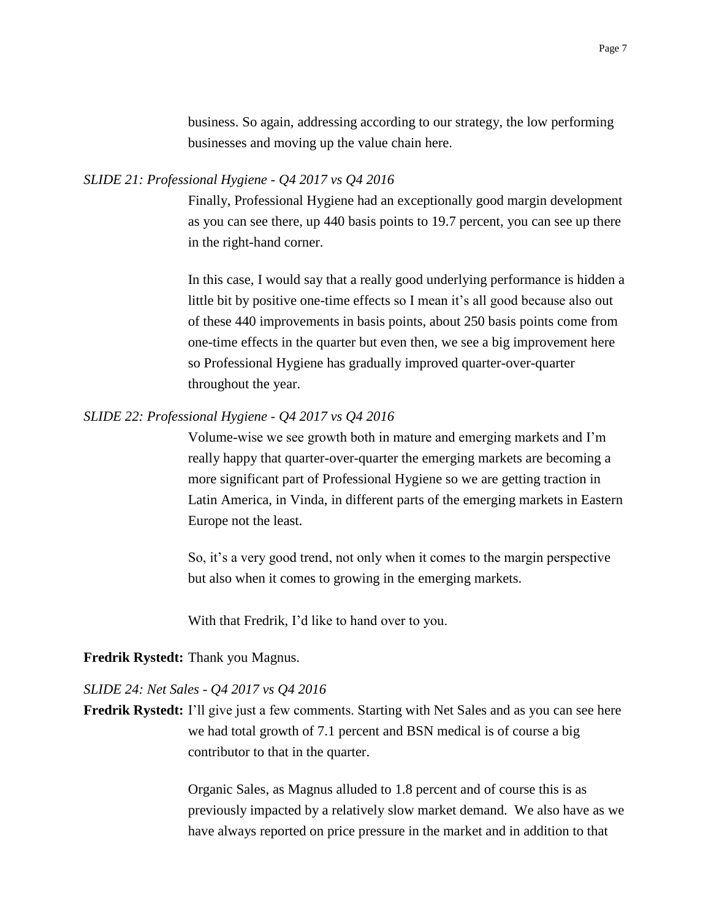business. So again, addressing according to our strategy, the low performing businesses and moving up the value chain here.

## *SLIDE 21: Professional Hygiene - Q4 2017 vs Q4 2016*

Finally, Professional Hygiene had an exceptionally good margin development as you can see there, up 440 basis points to 19.7 percent, you can see up there in the right-hand corner.

In this case, I would say that a really good underlying performance is hidden a little bit by positive one-time effects so I mean it's all good because also out of these 440 improvements in basis points, about 250 basis points come from one-time effects in the quarter but even then, we see a big improvement here so Professional Hygiene has gradually improved quarter-over-quarter throughout the year.

## *SLIDE 22: Professional Hygiene - Q4 2017 vs Q4 2016*

Volume-wise we see growth both in mature and emerging markets and I'm really happy that quarter-over-quarter the emerging markets are becoming a more significant part of Professional Hygiene so we are getting traction in Latin America, in Vinda, in different parts of the emerging markets in Eastern Europe not the least.

So, it's a very good trend, not only when it comes to the margin perspective but also when it comes to growing in the emerging markets.

With that Fredrik, I'd like to hand over to you.

## **Fredrik Rystedt:** Thank you Magnus.

## *SLIDE 24: Net Sales - Q4 2017 vs Q4 2016*

**Fredrik Rystedt:** I'll give just a few comments. Starting with Net Sales and as you can see here we had total growth of 7.1 percent and BSN medical is of course a big contributor to that in the quarter.

> Organic Sales, as Magnus alluded to 1.8 percent and of course this is as previously impacted by a relatively slow market demand. We also have as we have always reported on price pressure in the market and in addition to that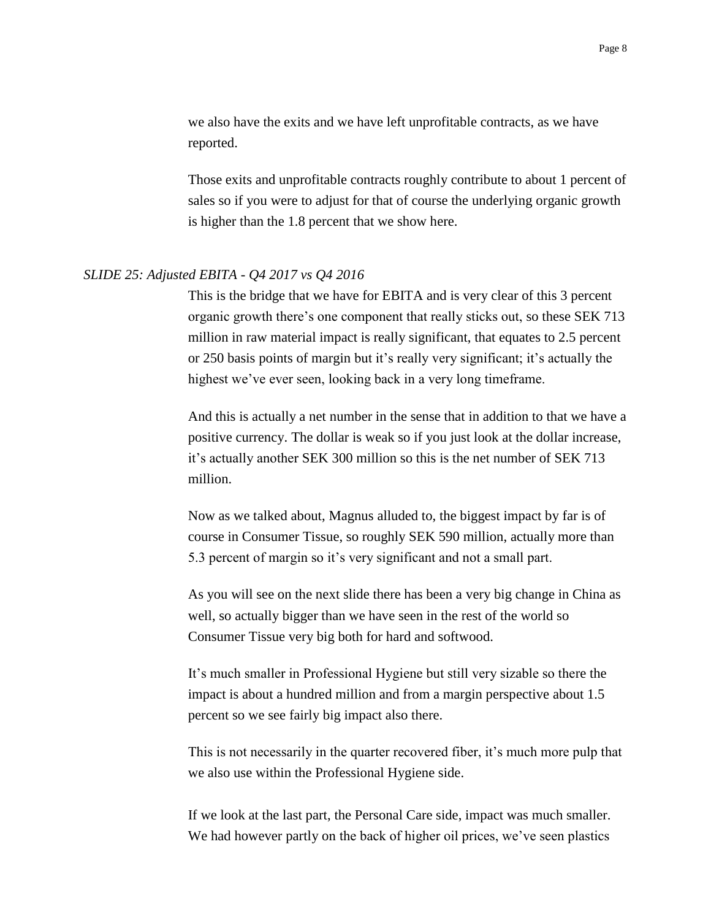we also have the exits and we have left unprofitable contracts, as we have reported.

Those exits and unprofitable contracts roughly contribute to about 1 percent of sales so if you were to adjust for that of course the underlying organic growth is higher than the 1.8 percent that we show here.

## *SLIDE 25: Adjusted EBITA - Q4 2017 vs Q4 2016*

This is the bridge that we have for EBITA and is very clear of this 3 percent organic growth there's one component that really sticks out, so these SEK 713 million in raw material impact is really significant, that equates to 2.5 percent or 250 basis points of margin but it's really very significant; it's actually the highest we've ever seen, looking back in a very long timeframe.

And this is actually a net number in the sense that in addition to that we have a positive currency. The dollar is weak so if you just look at the dollar increase, it's actually another SEK 300 million so this is the net number of SEK 713 million.

Now as we talked about, Magnus alluded to, the biggest impact by far is of course in Consumer Tissue, so roughly SEK 590 million, actually more than 5.3 percent of margin so it's very significant and not a small part.

As you will see on the next slide there has been a very big change in China as well, so actually bigger than we have seen in the rest of the world so Consumer Tissue very big both for hard and softwood.

It's much smaller in Professional Hygiene but still very sizable so there the impact is about a hundred million and from a margin perspective about 1.5 percent so we see fairly big impact also there.

This is not necessarily in the quarter recovered fiber, it's much more pulp that we also use within the Professional Hygiene side.

If we look at the last part, the Personal Care side, impact was much smaller. We had however partly on the back of higher oil prices, we've seen plastics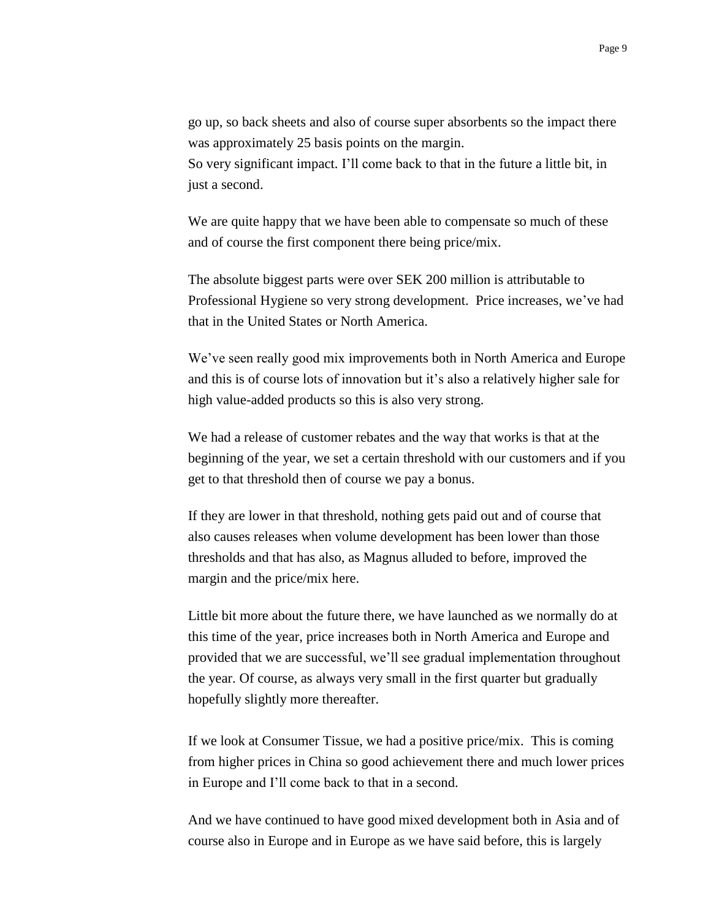go up, so back sheets and also of course super absorbents so the impact there was approximately 25 basis points on the margin. So very significant impact. I'll come back to that in the future a little bit, in just a second.

We are quite happy that we have been able to compensate so much of these and of course the first component there being price/mix.

The absolute biggest parts were over SEK 200 million is attributable to Professional Hygiene so very strong development. Price increases, we've had that in the United States or North America.

We've seen really good mix improvements both in North America and Europe and this is of course lots of innovation but it's also a relatively higher sale for high value-added products so this is also very strong.

We had a release of customer rebates and the way that works is that at the beginning of the year, we set a certain threshold with our customers and if you get to that threshold then of course we pay a bonus.

If they are lower in that threshold, nothing gets paid out and of course that also causes releases when volume development has been lower than those thresholds and that has also, as Magnus alluded to before, improved the margin and the price/mix here.

Little bit more about the future there, we have launched as we normally do at this time of the year, price increases both in North America and Europe and provided that we are successful, we'll see gradual implementation throughout the year. Of course, as always very small in the first quarter but gradually hopefully slightly more thereafter.

If we look at Consumer Tissue, we had a positive price/mix. This is coming from higher prices in China so good achievement there and much lower prices in Europe and I'll come back to that in a second.

And we have continued to have good mixed development both in Asia and of course also in Europe and in Europe as we have said before, this is largely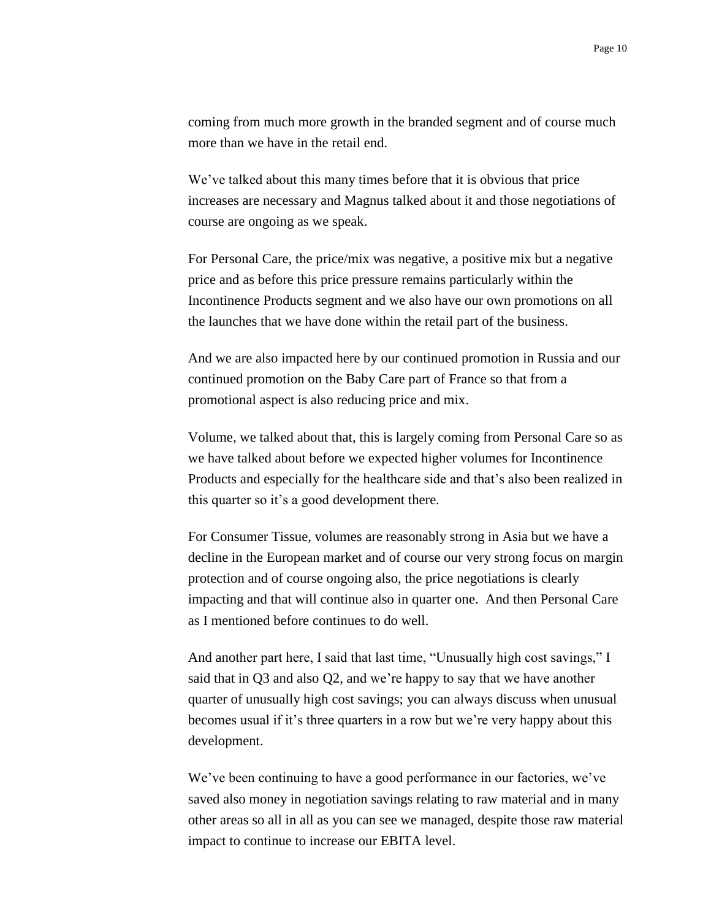coming from much more growth in the branded segment and of course much more than we have in the retail end.

We've talked about this many times before that it is obvious that price increases are necessary and Magnus talked about it and those negotiations of course are ongoing as we speak.

For Personal Care, the price/mix was negative, a positive mix but a negative price and as before this price pressure remains particularly within the Incontinence Products segment and we also have our own promotions on all the launches that we have done within the retail part of the business.

And we are also impacted here by our continued promotion in Russia and our continued promotion on the Baby Care part of France so that from a promotional aspect is also reducing price and mix.

Volume, we talked about that, this is largely coming from Personal Care so as we have talked about before we expected higher volumes for Incontinence Products and especially for the healthcare side and that's also been realized in this quarter so it's a good development there.

For Consumer Tissue, volumes are reasonably strong in Asia but we have a decline in the European market and of course our very strong focus on margin protection and of course ongoing also, the price negotiations is clearly impacting and that will continue also in quarter one. And then Personal Care as I mentioned before continues to do well.

And another part here, I said that last time, "Unusually high cost savings," I said that in Q3 and also Q2, and we're happy to say that we have another quarter of unusually high cost savings; you can always discuss when unusual becomes usual if it's three quarters in a row but we're very happy about this development.

We've been continuing to have a good performance in our factories, we've saved also money in negotiation savings relating to raw material and in many other areas so all in all as you can see we managed, despite those raw material impact to continue to increase our EBITA level.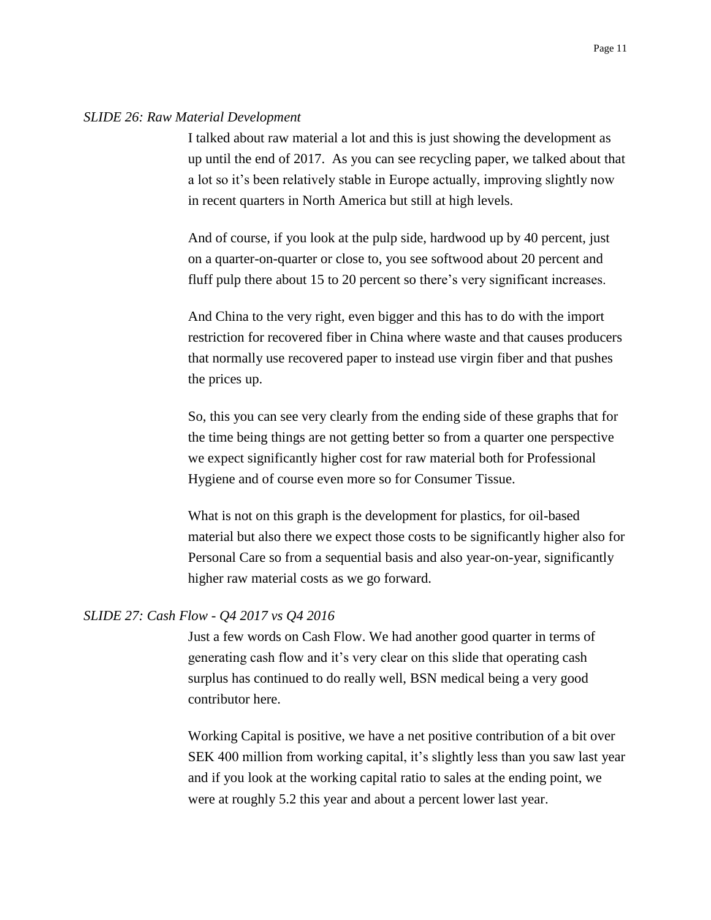#### *SLIDE 26: Raw Material Development*

I talked about raw material a lot and this is just showing the development as up until the end of 2017. As you can see recycling paper, we talked about that a lot so it's been relatively stable in Europe actually, improving slightly now in recent quarters in North America but still at high levels.

And of course, if you look at the pulp side, hardwood up by 40 percent, just on a quarter-on-quarter or close to, you see softwood about 20 percent and fluff pulp there about 15 to 20 percent so there's very significant increases.

And China to the very right, even bigger and this has to do with the import restriction for recovered fiber in China where waste and that causes producers that normally use recovered paper to instead use virgin fiber and that pushes the prices up.

So, this you can see very clearly from the ending side of these graphs that for the time being things are not getting better so from a quarter one perspective we expect significantly higher cost for raw material both for Professional Hygiene and of course even more so for Consumer Tissue.

What is not on this graph is the development for plastics, for oil-based material but also there we expect those costs to be significantly higher also for Personal Care so from a sequential basis and also year-on-year, significantly higher raw material costs as we go forward.

### *SLIDE 27: Cash Flow - Q4 2017 vs Q4 2016*

Just a few words on Cash Flow. We had another good quarter in terms of generating cash flow and it's very clear on this slide that operating cash surplus has continued to do really well, BSN medical being a very good contributor here.

Working Capital is positive, we have a net positive contribution of a bit over SEK 400 million from working capital, it's slightly less than you saw last year and if you look at the working capital ratio to sales at the ending point, we were at roughly 5.2 this year and about a percent lower last year.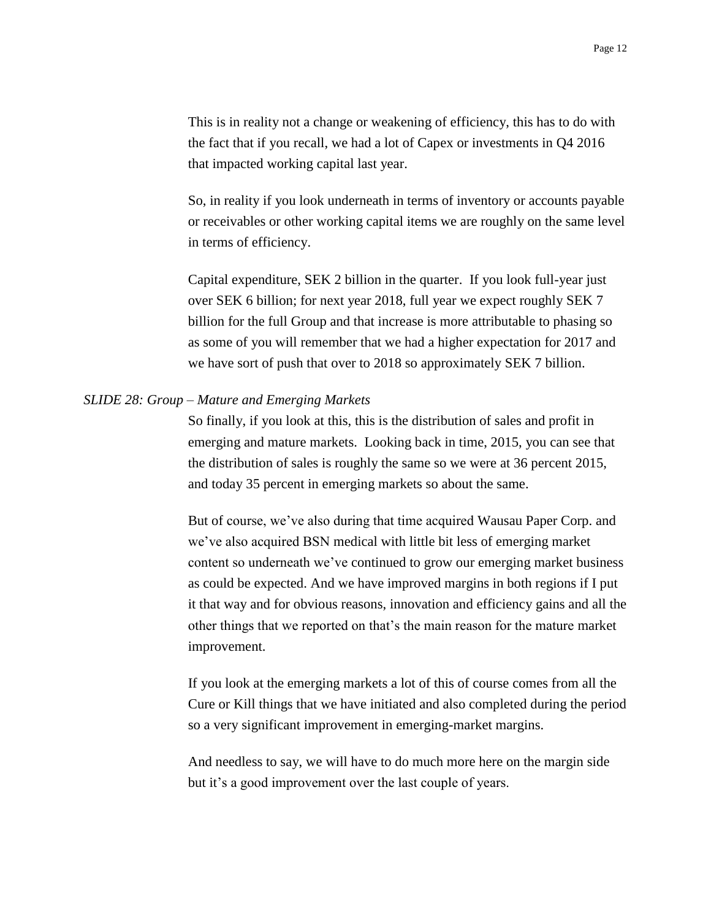This is in reality not a change or weakening of efficiency, this has to do with the fact that if you recall, we had a lot of Capex or investments in Q4 2016 that impacted working capital last year.

So, in reality if you look underneath in terms of inventory or accounts payable or receivables or other working capital items we are roughly on the same level in terms of efficiency.

Capital expenditure, SEK 2 billion in the quarter. If you look full-year just over SEK 6 billion; for next year 2018, full year we expect roughly SEK 7 billion for the full Group and that increase is more attributable to phasing so as some of you will remember that we had a higher expectation for 2017 and we have sort of push that over to 2018 so approximately SEK 7 billion.

### *SLIDE 28: Group – Mature and Emerging Markets*

So finally, if you look at this, this is the distribution of sales and profit in emerging and mature markets. Looking back in time, 2015, you can see that the distribution of sales is roughly the same so we were at 36 percent 2015, and today 35 percent in emerging markets so about the same.

But of course, we've also during that time acquired Wausau Paper Corp. and we've also acquired BSN medical with little bit less of emerging market content so underneath we've continued to grow our emerging market business as could be expected. And we have improved margins in both regions if I put it that way and for obvious reasons, innovation and efficiency gains and all the other things that we reported on that's the main reason for the mature market improvement.

If you look at the emerging markets a lot of this of course comes from all the Cure or Kill things that we have initiated and also completed during the period so a very significant improvement in emerging-market margins.

And needless to say, we will have to do much more here on the margin side but it's a good improvement over the last couple of years.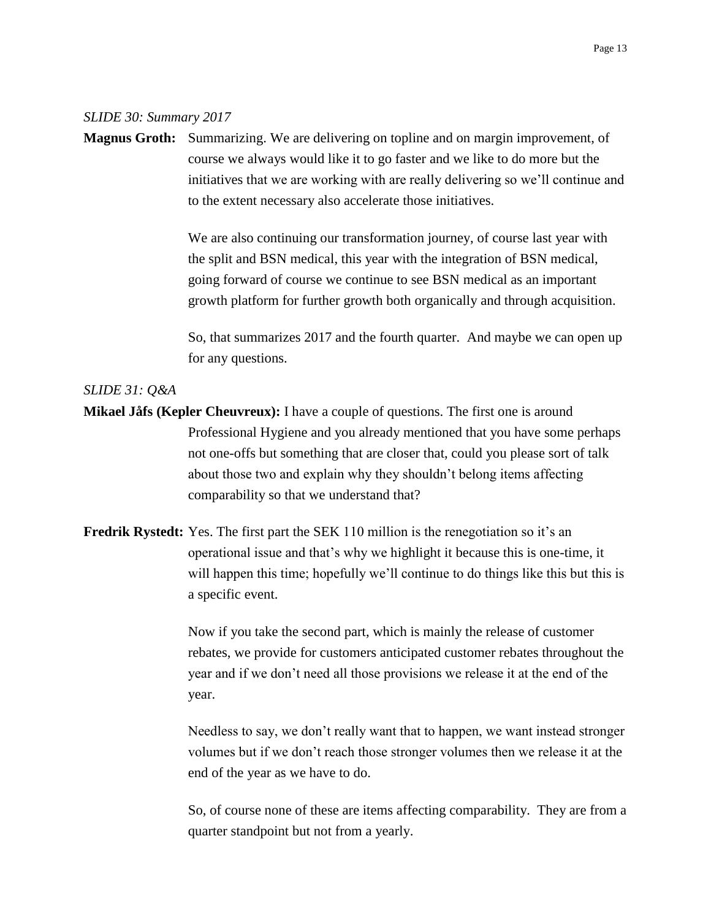#### *SLIDE 30: Summary 2017*

**Magnus Groth:** Summarizing. We are delivering on topline and on margin improvement, of course we always would like it to go faster and we like to do more but the initiatives that we are working with are really delivering so we'll continue and to the extent necessary also accelerate those initiatives.

> We are also continuing our transformation journey, of course last year with the split and BSN medical, this year with the integration of BSN medical, going forward of course we continue to see BSN medical as an important growth platform for further growth both organically and through acquisition.

So, that summarizes 2017 and the fourth quarter. And maybe we can open up for any questions.

# *SLIDE 31: Q&A*

- **Mikael Jåfs (Kepler Cheuvreux):** I have a couple of questions. The first one is around Professional Hygiene and you already mentioned that you have some perhaps not one-offs but something that are closer that, could you please sort of talk about those two and explain why they shouldn't belong items affecting comparability so that we understand that?
- **Fredrik Rystedt:** Yes. The first part the SEK 110 million is the renegotiation so it's an operational issue and that's why we highlight it because this is one-time, it will happen this time; hopefully we'll continue to do things like this but this is a specific event.

Now if you take the second part, which is mainly the release of customer rebates, we provide for customers anticipated customer rebates throughout the year and if we don't need all those provisions we release it at the end of the year.

Needless to say, we don't really want that to happen, we want instead stronger volumes but if we don't reach those stronger volumes then we release it at the end of the year as we have to do.

So, of course none of these are items affecting comparability. They are from a quarter standpoint but not from a yearly.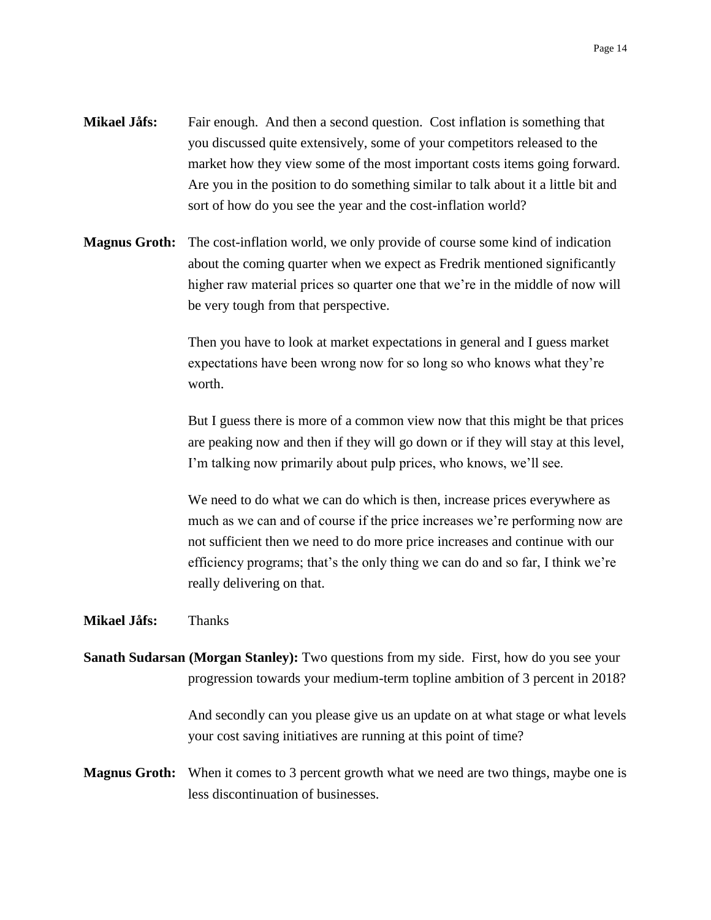- **Mikael Jåfs:** Fair enough. And then a second question. Cost inflation is something that you discussed quite extensively, some of your competitors released to the market how they view some of the most important costs items going forward. Are you in the position to do something similar to talk about it a little bit and sort of how do you see the year and the cost-inflation world?
- **Magnus Groth:** The cost-inflation world, we only provide of course some kind of indication about the coming quarter when we expect as Fredrik mentioned significantly higher raw material prices so quarter one that we're in the middle of now will be very tough from that perspective.

Then you have to look at market expectations in general and I guess market expectations have been wrong now for so long so who knows what they're worth.

But I guess there is more of a common view now that this might be that prices are peaking now and then if they will go down or if they will stay at this level, I'm talking now primarily about pulp prices, who knows, we'll see.

We need to do what we can do which is then, increase prices everywhere as much as we can and of course if the price increases we're performing now are not sufficient then we need to do more price increases and continue with our efficiency programs; that's the only thing we can do and so far, I think we're really delivering on that.

**Mikael Jåfs:** Thanks

**Sanath Sudarsan (Morgan Stanley):** Two questions from my side. First, how do you see your progression towards your medium-term topline ambition of 3 percent in 2018?

> And secondly can you please give us an update on at what stage or what levels your cost saving initiatives are running at this point of time?

**Magnus Groth:** When it comes to 3 percent growth what we need are two things, maybe one is less discontinuation of businesses.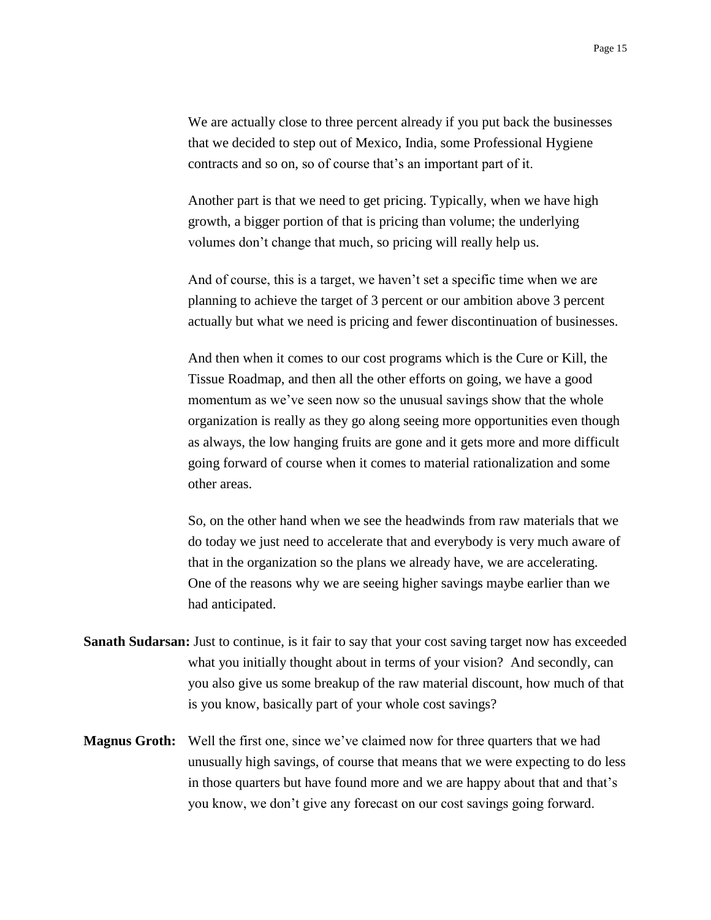We are actually close to three percent already if you put back the businesses that we decided to step out of Mexico, India, some Professional Hygiene contracts and so on, so of course that's an important part of it.

Another part is that we need to get pricing. Typically, when we have high growth, a bigger portion of that is pricing than volume; the underlying volumes don't change that much, so pricing will really help us.

And of course, this is a target, we haven't set a specific time when we are planning to achieve the target of 3 percent or our ambition above 3 percent actually but what we need is pricing and fewer discontinuation of businesses.

And then when it comes to our cost programs which is the Cure or Kill, the Tissue Roadmap, and then all the other efforts on going, we have a good momentum as we've seen now so the unusual savings show that the whole organization is really as they go along seeing more opportunities even though as always, the low hanging fruits are gone and it gets more and more difficult going forward of course when it comes to material rationalization and some other areas.

So, on the other hand when we see the headwinds from raw materials that we do today we just need to accelerate that and everybody is very much aware of that in the organization so the plans we already have, we are accelerating. One of the reasons why we are seeing higher savings maybe earlier than we had anticipated.

- **Sanath Sudarsan:** Just to continue, is it fair to say that your cost saving target now has exceeded what you initially thought about in terms of your vision? And secondly, can you also give us some breakup of the raw material discount, how much of that is you know, basically part of your whole cost savings?
- **Magnus Groth:** Well the first one, since we've claimed now for three quarters that we had unusually high savings, of course that means that we were expecting to do less in those quarters but have found more and we are happy about that and that's you know, we don't give any forecast on our cost savings going forward.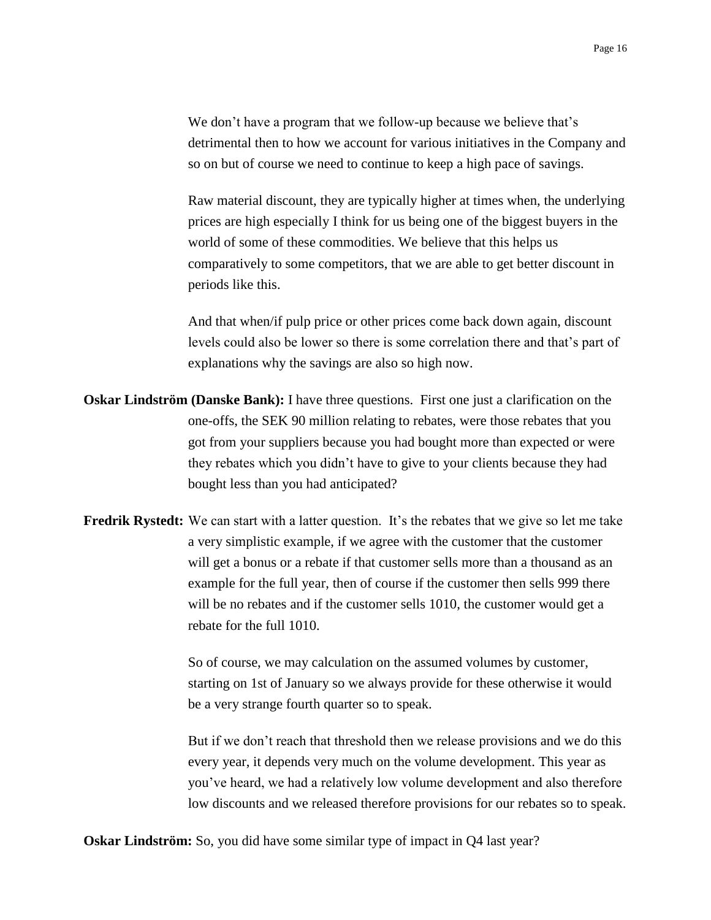We don't have a program that we follow-up because we believe that's detrimental then to how we account for various initiatives in the Company and so on but of course we need to continue to keep a high pace of savings.

Raw material discount, they are typically higher at times when, the underlying prices are high especially I think for us being one of the biggest buyers in the world of some of these commodities. We believe that this helps us comparatively to some competitors, that we are able to get better discount in periods like this.

And that when/if pulp price or other prices come back down again, discount levels could also be lower so there is some correlation there and that's part of explanations why the savings are also so high now.

- **Oskar Lindström (Danske Bank):** I have three questions. First one just a clarification on the one-offs, the SEK 90 million relating to rebates, were those rebates that you got from your suppliers because you had bought more than expected or were they rebates which you didn't have to give to your clients because they had bought less than you had anticipated?
- **Fredrik Rystedt:** We can start with a latter question. It's the rebates that we give so let me take a very simplistic example, if we agree with the customer that the customer will get a bonus or a rebate if that customer sells more than a thousand as an example for the full year, then of course if the customer then sells 999 there will be no rebates and if the customer sells 1010, the customer would get a rebate for the full 1010.

So of course, we may calculation on the assumed volumes by customer, starting on 1st of January so we always provide for these otherwise it would be a very strange fourth quarter so to speak.

But if we don't reach that threshold then we release provisions and we do this every year, it depends very much on the volume development. This year as you've heard, we had a relatively low volume development and also therefore low discounts and we released therefore provisions for our rebates so to speak.

**Oskar Lindström:** So, you did have some similar type of impact in Q4 last year?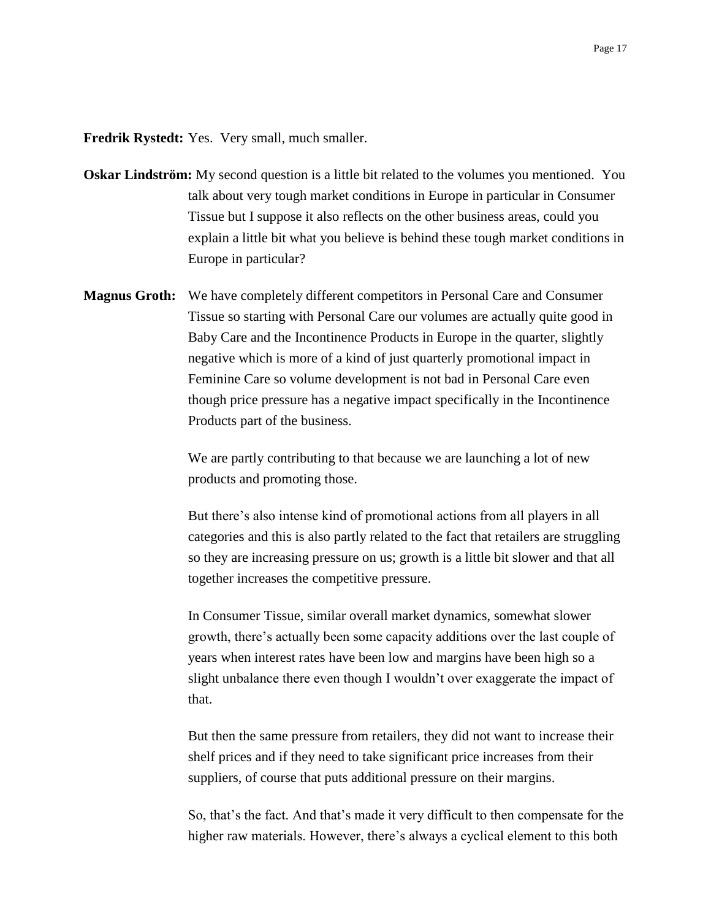**Fredrik Rystedt:** Yes. Very small, much smaller.

- **Oskar Lindström:** My second question is a little bit related to the volumes you mentioned. You talk about very tough market conditions in Europe in particular in Consumer Tissue but I suppose it also reflects on the other business areas, could you explain a little bit what you believe is behind these tough market conditions in Europe in particular?
- **Magnus Groth:** We have completely different competitors in Personal Care and Consumer Tissue so starting with Personal Care our volumes are actually quite good in Baby Care and the Incontinence Products in Europe in the quarter, slightly negative which is more of a kind of just quarterly promotional impact in Feminine Care so volume development is not bad in Personal Care even though price pressure has a negative impact specifically in the Incontinence Products part of the business.

We are partly contributing to that because we are launching a lot of new products and promoting those.

But there's also intense kind of promotional actions from all players in all categories and this is also partly related to the fact that retailers are struggling so they are increasing pressure on us; growth is a little bit slower and that all together increases the competitive pressure.

In Consumer Tissue, similar overall market dynamics, somewhat slower growth, there's actually been some capacity additions over the last couple of years when interest rates have been low and margins have been high so a slight unbalance there even though I wouldn't over exaggerate the impact of that.

But then the same pressure from retailers, they did not want to increase their shelf prices and if they need to take significant price increases from their suppliers, of course that puts additional pressure on their margins.

So, that's the fact. And that's made it very difficult to then compensate for the higher raw materials. However, there's always a cyclical element to this both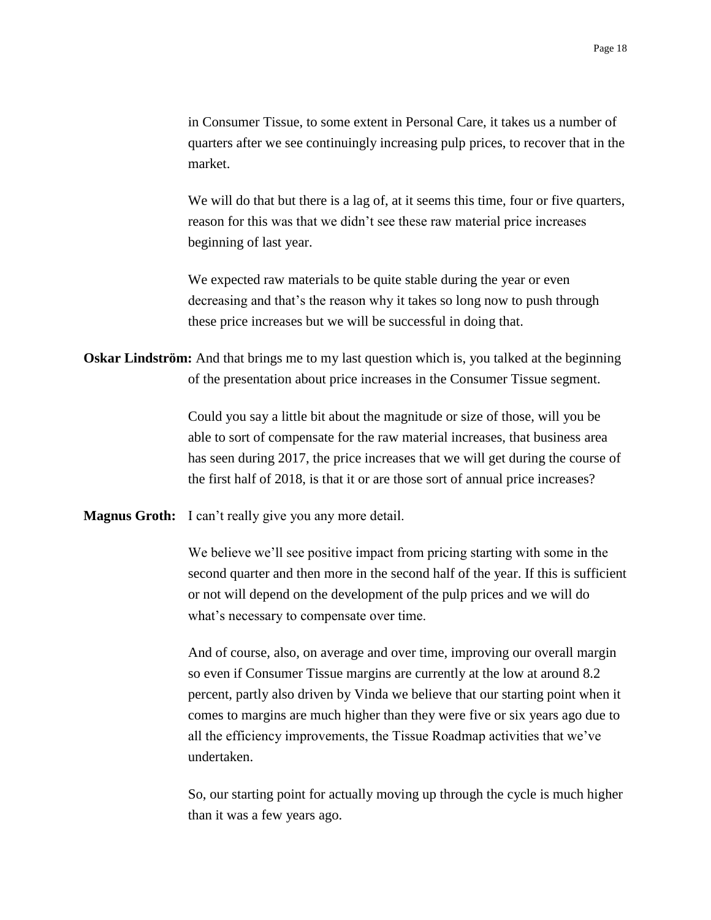in Consumer Tissue, to some extent in Personal Care, it takes us a number of quarters after we see continuingly increasing pulp prices, to recover that in the market.

We will do that but there is a lag of, at it seems this time, four or five quarters, reason for this was that we didn't see these raw material price increases beginning of last year.

We expected raw materials to be quite stable during the year or even decreasing and that's the reason why it takes so long now to push through these price increases but we will be successful in doing that.

**Oskar Lindström:** And that brings me to my last question which is, you talked at the beginning of the presentation about price increases in the Consumer Tissue segment.

> Could you say a little bit about the magnitude or size of those, will you be able to sort of compensate for the raw material increases, that business area has seen during 2017, the price increases that we will get during the course of the first half of 2018, is that it or are those sort of annual price increases?

**Magnus Groth:** I can't really give you any more detail.

We believe we'll see positive impact from pricing starting with some in the second quarter and then more in the second half of the year. If this is sufficient or not will depend on the development of the pulp prices and we will do what's necessary to compensate over time.

And of course, also, on average and over time, improving our overall margin so even if Consumer Tissue margins are currently at the low at around 8.2 percent, partly also driven by Vinda we believe that our starting point when it comes to margins are much higher than they were five or six years ago due to all the efficiency improvements, the Tissue Roadmap activities that we've undertaken.

So, our starting point for actually moving up through the cycle is much higher than it was a few years ago.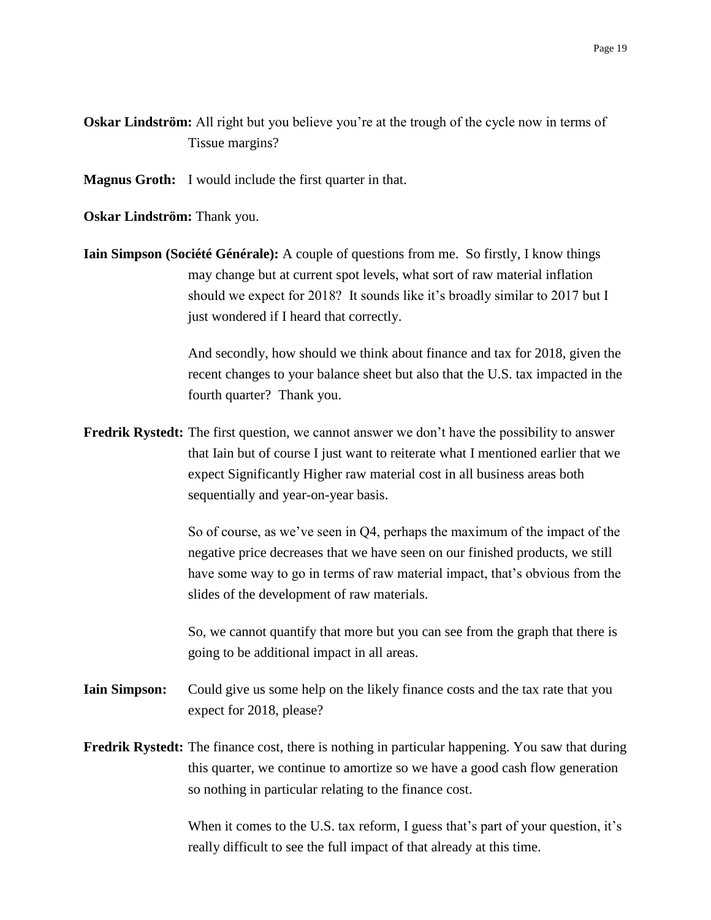- **Oskar Lindström:** All right but you believe you're at the trough of the cycle now in terms of Tissue margins?
- **Magnus Groth:** I would include the first quarter in that.
- **Oskar Lindström:** Thank you.
- **Iain Simpson (Société Générale):** A couple of questions from me. So firstly, I know things may change but at current spot levels, what sort of raw material inflation should we expect for 2018? It sounds like it's broadly similar to 2017 but I just wondered if I heard that correctly.

And secondly, how should we think about finance and tax for 2018, given the recent changes to your balance sheet but also that the U.S. tax impacted in the fourth quarter? Thank you.

**Fredrik Rystedt:** The first question, we cannot answer we don't have the possibility to answer that Iain but of course I just want to reiterate what I mentioned earlier that we expect Significantly Higher raw material cost in all business areas both sequentially and year-on-year basis.

> So of course, as we've seen in Q4, perhaps the maximum of the impact of the negative price decreases that we have seen on our finished products, we still have some way to go in terms of raw material impact, that's obvious from the slides of the development of raw materials.

> So, we cannot quantify that more but you can see from the graph that there is going to be additional impact in all areas.

- **Iain Simpson:** Could give us some help on the likely finance costs and the tax rate that you expect for 2018, please?
- **Fredrik Rystedt:** The finance cost, there is nothing in particular happening. You saw that during this quarter, we continue to amortize so we have a good cash flow generation so nothing in particular relating to the finance cost.

When it comes to the U.S. tax reform, I guess that's part of your question, it's really difficult to see the full impact of that already at this time.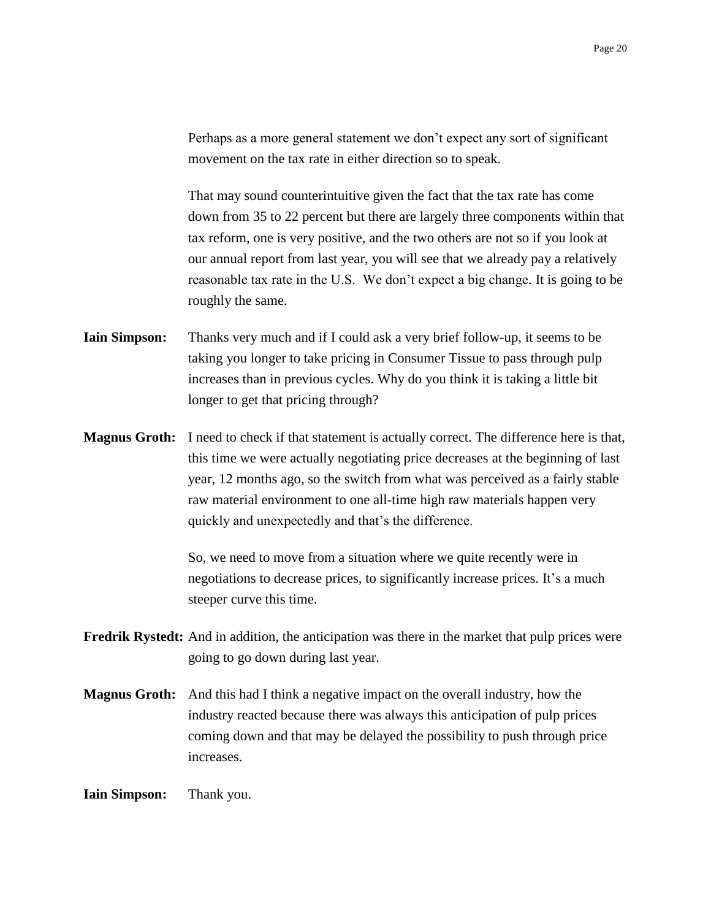Perhaps as a more general statement we don't expect any sort of significant movement on the tax rate in either direction so to speak.

That may sound counterintuitive given the fact that the tax rate has come down from 35 to 22 percent but there are largely three components within that tax reform, one is very positive, and the two others are not so if you look at our annual report from last year, you will see that we already pay a relatively reasonable tax rate in the U.S. We don't expect a big change. It is going to be roughly the same.

- **Iain Simpson:** Thanks very much and if I could ask a very brief follow-up, it seems to be taking you longer to take pricing in Consumer Tissue to pass through pulp increases than in previous cycles. Why do you think it is taking a little bit longer to get that pricing through?
- **Magnus Groth:** I need to check if that statement is actually correct. The difference here is that, this time we were actually negotiating price decreases at the beginning of last year, 12 months ago, so the switch from what was perceived as a fairly stable raw material environment to one all-time high raw materials happen very quickly and unexpectedly and that's the difference.

So, we need to move from a situation where we quite recently were in negotiations to decrease prices, to significantly increase prices. It's a much steeper curve this time.

- **Fredrik Rystedt:** And in addition, the anticipation was there in the market that pulp prices were going to go down during last year.
- **Magnus Groth:** And this had I think a negative impact on the overall industry, how the industry reacted because there was always this anticipation of pulp prices coming down and that may be delayed the possibility to push through price increases.

**Iain Simpson:** Thank you.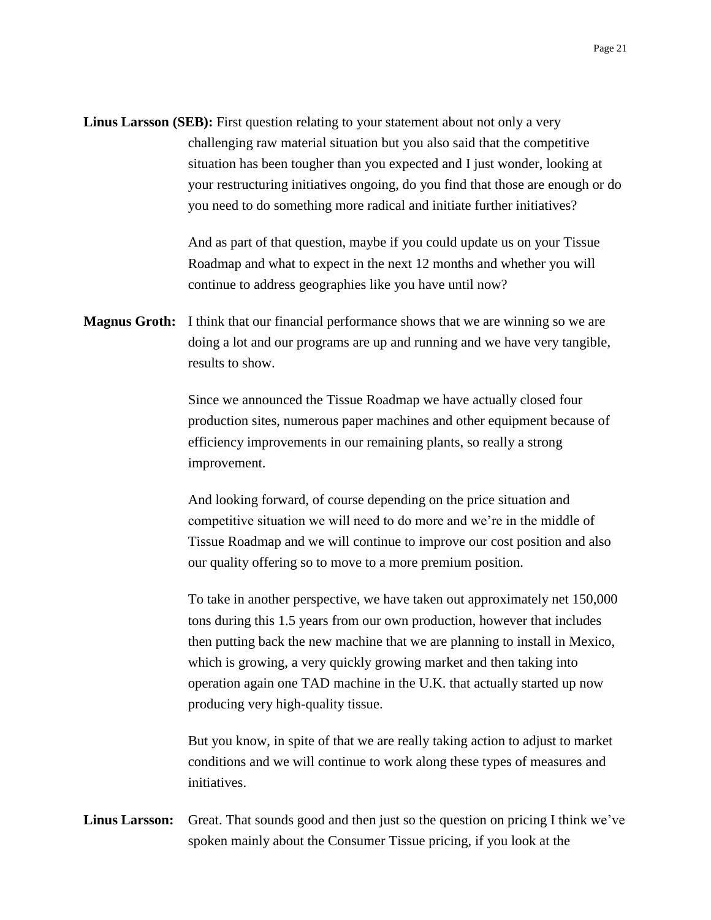**Linus Larsson (SEB):** First question relating to your statement about not only a very challenging raw material situation but you also said that the competitive situation has been tougher than you expected and I just wonder, looking at your restructuring initiatives ongoing, do you find that those are enough or do you need to do something more radical and initiate further initiatives?

> And as part of that question, maybe if you could update us on your Tissue Roadmap and what to expect in the next 12 months and whether you will continue to address geographies like you have until now?

**Magnus Groth:** I think that our financial performance shows that we are winning so we are doing a lot and our programs are up and running and we have very tangible, results to show.

> Since we announced the Tissue Roadmap we have actually closed four production sites, numerous paper machines and other equipment because of efficiency improvements in our remaining plants, so really a strong improvement.

> And looking forward, of course depending on the price situation and competitive situation we will need to do more and we're in the middle of Tissue Roadmap and we will continue to improve our cost position and also our quality offering so to move to a more premium position.

To take in another perspective, we have taken out approximately net 150,000 tons during this 1.5 years from our own production, however that includes then putting back the new machine that we are planning to install in Mexico, which is growing, a very quickly growing market and then taking into operation again one TAD machine in the U.K. that actually started up now producing very high-quality tissue.

But you know, in spite of that we are really taking action to adjust to market conditions and we will continue to work along these types of measures and initiatives.

**Linus Larsson:** Great. That sounds good and then just so the question on pricing I think we've spoken mainly about the Consumer Tissue pricing, if you look at the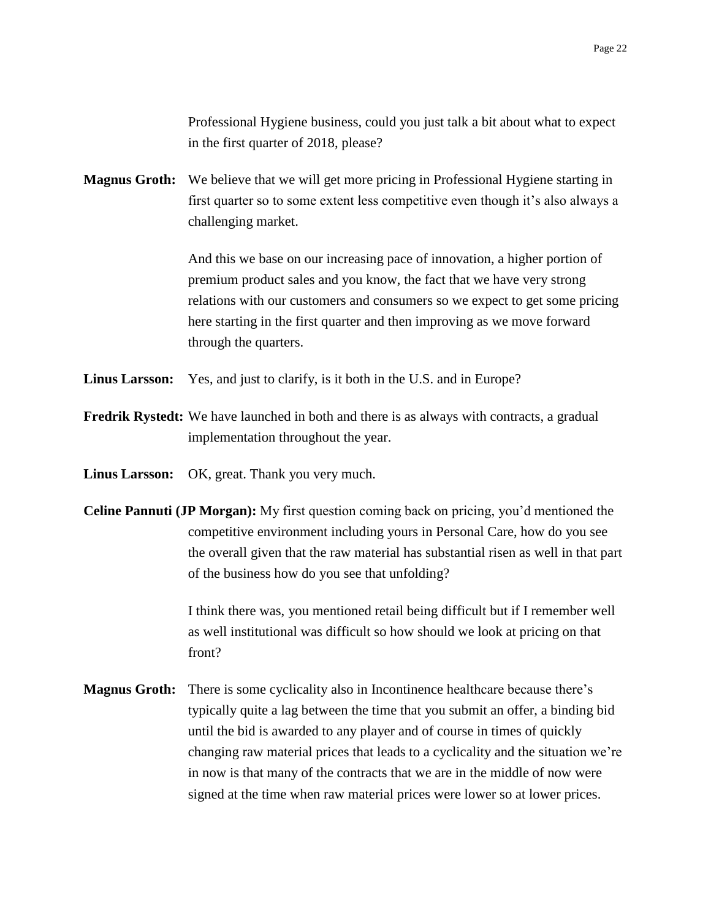Professional Hygiene business, could you just talk a bit about what to expect in the first quarter of 2018, please?

**Magnus Groth:** We believe that we will get more pricing in Professional Hygiene starting in first quarter so to some extent less competitive even though it's also always a challenging market.

> And this we base on our increasing pace of innovation, a higher portion of premium product sales and you know, the fact that we have very strong relations with our customers and consumers so we expect to get some pricing here starting in the first quarter and then improving as we move forward through the quarters.

- **Linus Larsson:** Yes, and just to clarify, is it both in the U.S. and in Europe?
- **Fredrik Rystedt:** We have launched in both and there is as always with contracts, a gradual implementation throughout the year.
- **Linus Larsson:** OK, great. Thank you very much.
- **Celine Pannuti (JP Morgan):** My first question coming back on pricing, you'd mentioned the competitive environment including yours in Personal Care, how do you see the overall given that the raw material has substantial risen as well in that part of the business how do you see that unfolding?

I think there was, you mentioned retail being difficult but if I remember well as well institutional was difficult so how should we look at pricing on that front?

**Magnus Groth:** There is some cyclicality also in Incontinence healthcare because there's typically quite a lag between the time that you submit an offer, a binding bid until the bid is awarded to any player and of course in times of quickly changing raw material prices that leads to a cyclicality and the situation we're in now is that many of the contracts that we are in the middle of now were signed at the time when raw material prices were lower so at lower prices.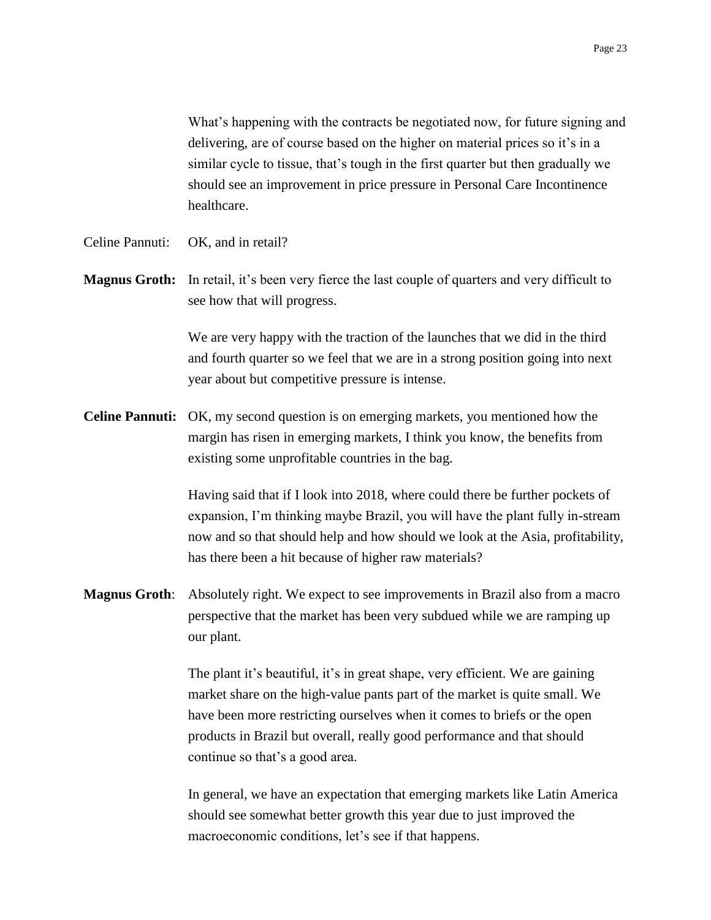What's happening with the contracts be negotiated now, for future signing and delivering, are of course based on the higher on material prices so it's in a similar cycle to tissue, that's tough in the first quarter but then gradually we should see an improvement in price pressure in Personal Care Incontinence healthcare.

- Celine Pannuti: OK, and in retail?
- **Magnus Groth:** In retail, it's been very fierce the last couple of quarters and very difficult to see how that will progress.

We are very happy with the traction of the launches that we did in the third and fourth quarter so we feel that we are in a strong position going into next year about but competitive pressure is intense.

**Celine Pannuti:** OK, my second question is on emerging markets, you mentioned how the margin has risen in emerging markets, I think you know, the benefits from existing some unprofitable countries in the bag.

> Having said that if I look into 2018, where could there be further pockets of expansion, I'm thinking maybe Brazil, you will have the plant fully in-stream now and so that should help and how should we look at the Asia, profitability, has there been a hit because of higher raw materials?

**Magnus Groth**: Absolutely right. We expect to see improvements in Brazil also from a macro perspective that the market has been very subdued while we are ramping up our plant.

> The plant it's beautiful, it's in great shape, very efficient. We are gaining market share on the high-value pants part of the market is quite small. We have been more restricting ourselves when it comes to briefs or the open products in Brazil but overall, really good performance and that should continue so that's a good area.

In general, we have an expectation that emerging markets like Latin America should see somewhat better growth this year due to just improved the macroeconomic conditions, let's see if that happens.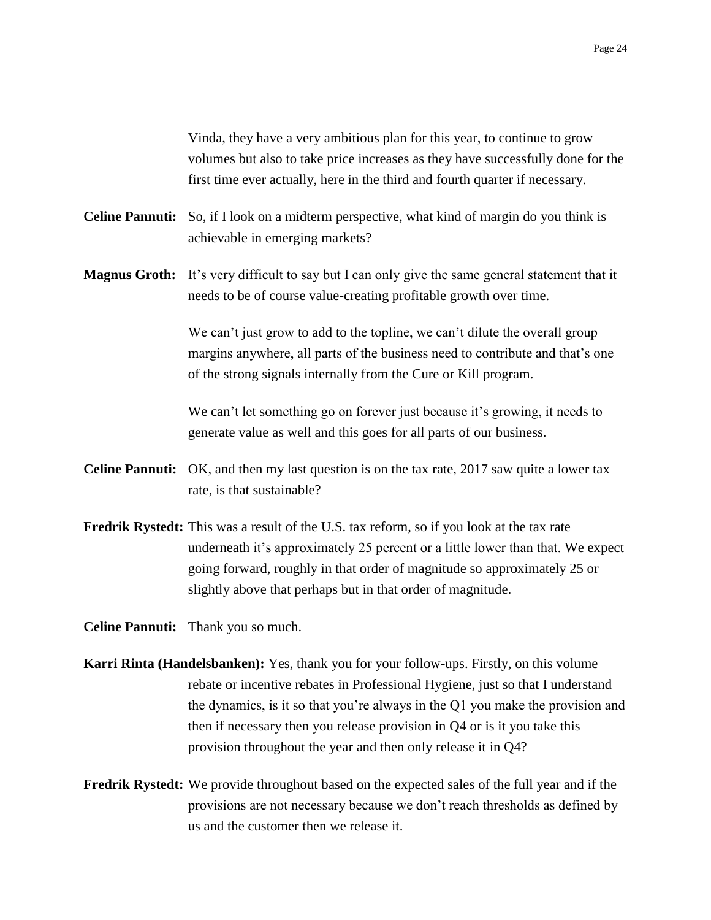Vinda, they have a very ambitious plan for this year, to continue to grow volumes but also to take price increases as they have successfully done for the first time ever actually, here in the third and fourth quarter if necessary.

- **Celine Pannuti:** So, if I look on a midterm perspective, what kind of margin do you think is achievable in emerging markets?
- **Magnus Groth:** It's very difficult to say but I can only give the same general statement that it needs to be of course value-creating profitable growth over time.

We can't just grow to add to the topline, we can't dilute the overall group margins anywhere, all parts of the business need to contribute and that's one of the strong signals internally from the Cure or Kill program.

We can't let something go on forever just because it's growing, it needs to generate value as well and this goes for all parts of our business.

- **Celine Pannuti:** OK, and then my last question is on the tax rate, 2017 saw quite a lower tax rate, is that sustainable?
- **Fredrik Rystedt:** This was a result of the U.S. tax reform, so if you look at the tax rate underneath it's approximately 25 percent or a little lower than that. We expect going forward, roughly in that order of magnitude so approximately 25 or slightly above that perhaps but in that order of magnitude.

**Celine Pannuti:** Thank you so much.

- **Karri Rinta (Handelsbanken):** Yes, thank you for your follow-ups. Firstly, on this volume rebate or incentive rebates in Professional Hygiene, just so that I understand the dynamics, is it so that you're always in the Q1 you make the provision and then if necessary then you release provision in Q4 or is it you take this provision throughout the year and then only release it in Q4?
- **Fredrik Rystedt:** We provide throughout based on the expected sales of the full year and if the provisions are not necessary because we don't reach thresholds as defined by us and the customer then we release it.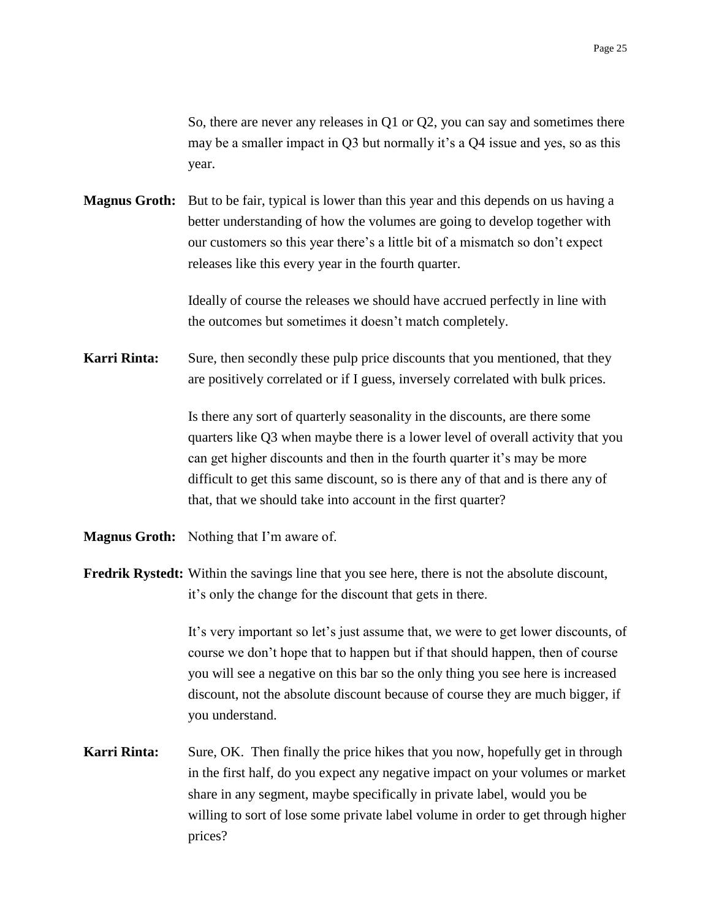So, there are never any releases in Q1 or Q2, you can say and sometimes there may be a smaller impact in Q3 but normally it's a Q4 issue and yes, so as this year.

**Magnus Groth:** But to be fair, typical is lower than this year and this depends on us having a better understanding of how the volumes are going to develop together with our customers so this year there's a little bit of a mismatch so don't expect releases like this every year in the fourth quarter.

> Ideally of course the releases we should have accrued perfectly in line with the outcomes but sometimes it doesn't match completely.

**Karri Rinta:** Sure, then secondly these pulp price discounts that you mentioned, that they are positively correlated or if I guess, inversely correlated with bulk prices.

> Is there any sort of quarterly seasonality in the discounts, are there some quarters like Q3 when maybe there is a lower level of overall activity that you can get higher discounts and then in the fourth quarter it's may be more difficult to get this same discount, so is there any of that and is there any of that, that we should take into account in the first quarter?

- **Magnus Groth:** Nothing that I'm aware of.
- **Fredrik Rystedt:** Within the savings line that you see here, there is not the absolute discount, it's only the change for the discount that gets in there.

It's very important so let's just assume that, we were to get lower discounts, of course we don't hope that to happen but if that should happen, then of course you will see a negative on this bar so the only thing you see here is increased discount, not the absolute discount because of course they are much bigger, if you understand.

**Karri Rinta:** Sure, OK. Then finally the price hikes that you now, hopefully get in through in the first half, do you expect any negative impact on your volumes or market share in any segment, maybe specifically in private label, would you be willing to sort of lose some private label volume in order to get through higher prices?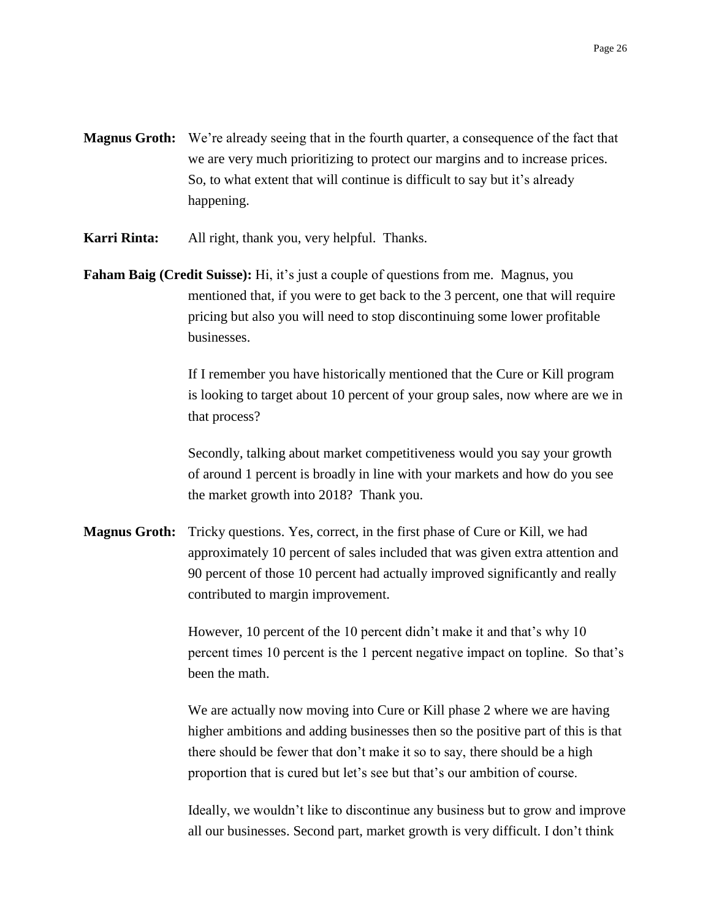- **Magnus Groth:** We're already seeing that in the fourth quarter, a consequence of the fact that we are very much prioritizing to protect our margins and to increase prices. So, to what extent that will continue is difficult to say but it's already happening.
- **Karri Rinta:** All right, thank you, very helpful. Thanks.
- **Faham Baig (Credit Suisse):** Hi, it's just a couple of questions from me. Magnus, you mentioned that, if you were to get back to the 3 percent, one that will require pricing but also you will need to stop discontinuing some lower profitable businesses.

If I remember you have historically mentioned that the Cure or Kill program is looking to target about 10 percent of your group sales, now where are we in that process?

Secondly, talking about market competitiveness would you say your growth of around 1 percent is broadly in line with your markets and how do you see the market growth into 2018? Thank you.

**Magnus Groth:** Tricky questions. Yes, correct, in the first phase of Cure or Kill, we had approximately 10 percent of sales included that was given extra attention and 90 percent of those 10 percent had actually improved significantly and really contributed to margin improvement.

> However, 10 percent of the 10 percent didn't make it and that's why 10 percent times 10 percent is the 1 percent negative impact on topline. So that's been the math.

> We are actually now moving into Cure or Kill phase 2 where we are having higher ambitions and adding businesses then so the positive part of this is that there should be fewer that don't make it so to say, there should be a high proportion that is cured but let's see but that's our ambition of course.

> Ideally, we wouldn't like to discontinue any business but to grow and improve all our businesses. Second part, market growth is very difficult. I don't think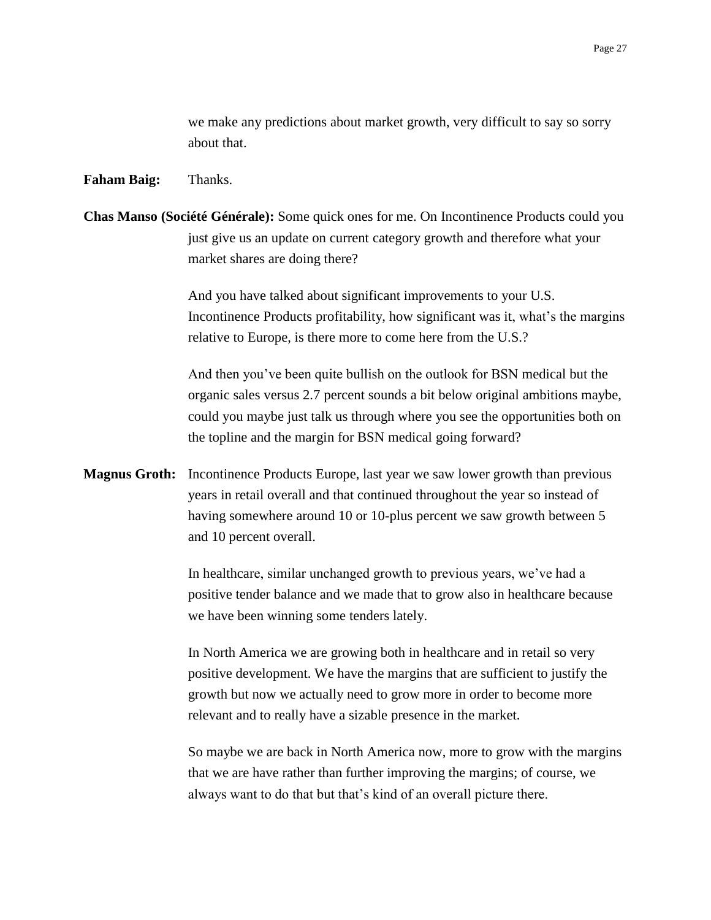we make any predictions about market growth, very difficult to say so sorry about that.

#### **Faham Baig:** Thanks.

**Chas Manso (Société Générale):** Some quick ones for me. On Incontinence Products could you just give us an update on current category growth and therefore what your market shares are doing there?

> And you have talked about significant improvements to your U.S. Incontinence Products profitability, how significant was it, what's the margins relative to Europe, is there more to come here from the U.S.?

> And then you've been quite bullish on the outlook for BSN medical but the organic sales versus 2.7 percent sounds a bit below original ambitions maybe, could you maybe just talk us through where you see the opportunities both on the topline and the margin for BSN medical going forward?

**Magnus Groth:** Incontinence Products Europe, last year we saw lower growth than previous years in retail overall and that continued throughout the year so instead of having somewhere around 10 or 10-plus percent we saw growth between 5 and 10 percent overall.

> In healthcare, similar unchanged growth to previous years, we've had a positive tender balance and we made that to grow also in healthcare because we have been winning some tenders lately.

In North America we are growing both in healthcare and in retail so very positive development. We have the margins that are sufficient to justify the growth but now we actually need to grow more in order to become more relevant and to really have a sizable presence in the market.

So maybe we are back in North America now, more to grow with the margins that we are have rather than further improving the margins; of course, we always want to do that but that's kind of an overall picture there.